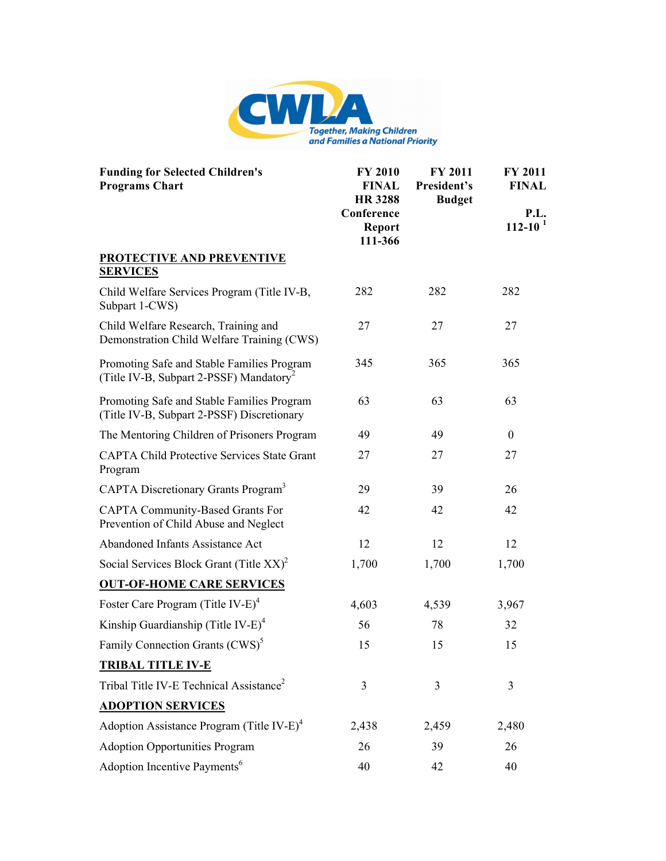

| <b>Funding for Selected Children's</b><br><b>Programs Chart</b>                                   | <b>FY 2010</b><br><b>FINAL</b><br><b>HR 3288</b><br>Conference<br><b>Report</b><br>111-366 | <b>FY 2011</b><br>President's<br><b>Budget</b> | FY 2011<br><b>FINAL</b> |
|---------------------------------------------------------------------------------------------------|--------------------------------------------------------------------------------------------|------------------------------------------------|-------------------------|
|                                                                                                   |                                                                                            |                                                | P.L.<br>$112 - 10^{1}$  |
| <b>PROTECTIVE AND PREVENTIVE</b><br><b>SERVICES</b>                                               |                                                                                            |                                                |                         |
| Child Welfare Services Program (Title IV-B,<br>Subpart 1-CWS)                                     | 282                                                                                        | 282                                            | 282                     |
| Child Welfare Research, Training and<br>Demonstration Child Welfare Training (CWS)                | 27                                                                                         | 27                                             | 27                      |
| Promoting Safe and Stable Families Program<br>(Title IV-B, Subpart 2-PSSF) Mandatory <sup>2</sup> | 345                                                                                        | 365                                            | 365                     |
| Promoting Safe and Stable Families Program<br>(Title IV-B, Subpart 2-PSSF) Discretionary          | 63                                                                                         | 63                                             | 63                      |
| The Mentoring Children of Prisoners Program                                                       | 49                                                                                         | 49                                             | $\mathbf{0}$            |
| <b>CAPTA Child Protective Services State Grant</b><br>Program                                     | 27                                                                                         | 27                                             | 27                      |
| CAPTA Discretionary Grants Program <sup>3</sup>                                                   | 29                                                                                         | 39                                             | 26                      |
| <b>CAPTA Community-Based Grants For</b><br>Prevention of Child Abuse and Neglect                  | 42                                                                                         | 42                                             | 42                      |
| Abandoned Infants Assistance Act                                                                  | 12                                                                                         | 12                                             | 12                      |
| Social Services Block Grant (Title $XX$ ) <sup>2</sup>                                            | 1,700                                                                                      | 1,700                                          | 1,700                   |
| <b>OUT-OF-HOME CARE SERVICES</b>                                                                  |                                                                                            |                                                |                         |
| Foster Care Program (Title IV-E) <sup>4</sup>                                                     | 4,603                                                                                      | 4,539                                          | 3,967                   |
| Kinship Guardianship (Title IV-E) <sup>4</sup>                                                    | 56                                                                                         | 78                                             | 32                      |
| Family Connection Grants (CWS) <sup>5</sup>                                                       | 15                                                                                         | 15                                             | 15                      |
| <b>TRIBAL TITLE IV-E</b>                                                                          |                                                                                            |                                                |                         |
| Tribal Title IV-E Technical Assistance <sup>2</sup>                                               | 3                                                                                          | 3                                              | $\overline{3}$          |
| <b>ADOPTION SERVICES</b>                                                                          |                                                                                            |                                                |                         |
| Adoption Assistance Program (Title IV-E) <sup>4</sup>                                             | 2,438                                                                                      | 2,459                                          | 2,480                   |
| <b>Adoption Opportunities Program</b>                                                             | 26                                                                                         | 39                                             | 26                      |
| Adoption Incentive Payments <sup>6</sup>                                                          | 40                                                                                         | 42                                             | 40                      |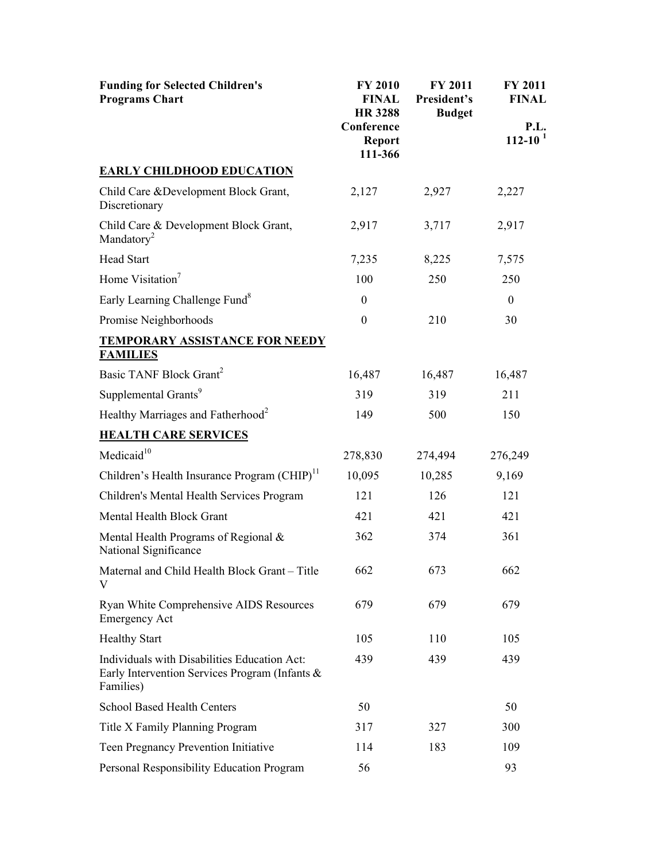| <b>Funding for Selected Children's</b><br><b>Programs Chart</b>                                             | <b>FY 2010</b><br><b>FINAL</b><br><b>HR 3288</b><br>Conference<br><b>Report</b><br>111-366 | FY 2011<br>President's<br><b>Budget</b> | FY 2011<br><b>FINAL</b> |
|-------------------------------------------------------------------------------------------------------------|--------------------------------------------------------------------------------------------|-----------------------------------------|-------------------------|
|                                                                                                             |                                                                                            |                                         | P.L.<br>$112 - 10^{1}$  |
| <b>EARLY CHILDHOOD EDUCATION</b>                                                                            |                                                                                            |                                         |                         |
| Child Care & Development Block Grant,<br>Discretionary                                                      | 2,127                                                                                      | 2,927                                   | 2,227                   |
| Child Care & Development Block Grant,<br>Mandatory <sup>2</sup>                                             | 2,917                                                                                      | 3,717                                   | 2,917                   |
| <b>Head Start</b>                                                                                           | 7,235                                                                                      | 8,225                                   | 7,575                   |
| Home Visitation <sup>7</sup>                                                                                | 100                                                                                        | 250                                     | 250                     |
| Early Learning Challenge Fund <sup>8</sup>                                                                  | $\boldsymbol{0}$                                                                           |                                         | $\boldsymbol{0}$        |
| Promise Neighborhoods                                                                                       | $\theta$                                                                                   | 210                                     | 30                      |
| <b>TEMPORARY ASSISTANCE FOR NEEDY</b><br><b>FAMILIES</b>                                                    |                                                                                            |                                         |                         |
| Basic TANF Block Grant <sup>2</sup>                                                                         | 16,487                                                                                     | 16,487                                  | 16,487                  |
| Supplemental Grants <sup>9</sup>                                                                            | 319                                                                                        | 319                                     | 211                     |
| Healthy Marriages and Fatherhood <sup>2</sup>                                                               | 149                                                                                        | 500                                     | 150                     |
| <b>HEALTH CARE SERVICES</b>                                                                                 |                                                                                            |                                         |                         |
| Medicaid <sup>10</sup>                                                                                      | 278,830                                                                                    | 274,494                                 | 276,249                 |
| Children's Health Insurance Program (CHIP) <sup>11</sup>                                                    | 10,095                                                                                     | 10,285                                  | 9,169                   |
| Children's Mental Health Services Program                                                                   | 121                                                                                        | 126                                     | 121                     |
| Mental Health Block Grant                                                                                   | 421                                                                                        | 421                                     | 421                     |
| Mental Health Programs of Regional $\&$<br>National Significance                                            | 362                                                                                        | 374                                     | 361                     |
| Maternal and Child Health Block Grant - Title<br>V                                                          | 662                                                                                        | 673                                     | 662                     |
| Ryan White Comprehensive AIDS Resources<br><b>Emergency Act</b>                                             | 679                                                                                        | 679                                     | 679                     |
| <b>Healthy Start</b>                                                                                        | 105                                                                                        | 110                                     | 105                     |
| Individuals with Disabilities Education Act:<br>Early Intervention Services Program (Infants &<br>Families) | 439                                                                                        | 439                                     | 439                     |
| <b>School Based Health Centers</b>                                                                          | 50                                                                                         |                                         | 50                      |
| Title X Family Planning Program                                                                             | 317                                                                                        | 327                                     | 300                     |
| Teen Pregnancy Prevention Initiative                                                                        | 114                                                                                        | 183                                     | 109                     |
| Personal Responsibility Education Program                                                                   | 56                                                                                         |                                         | 93                      |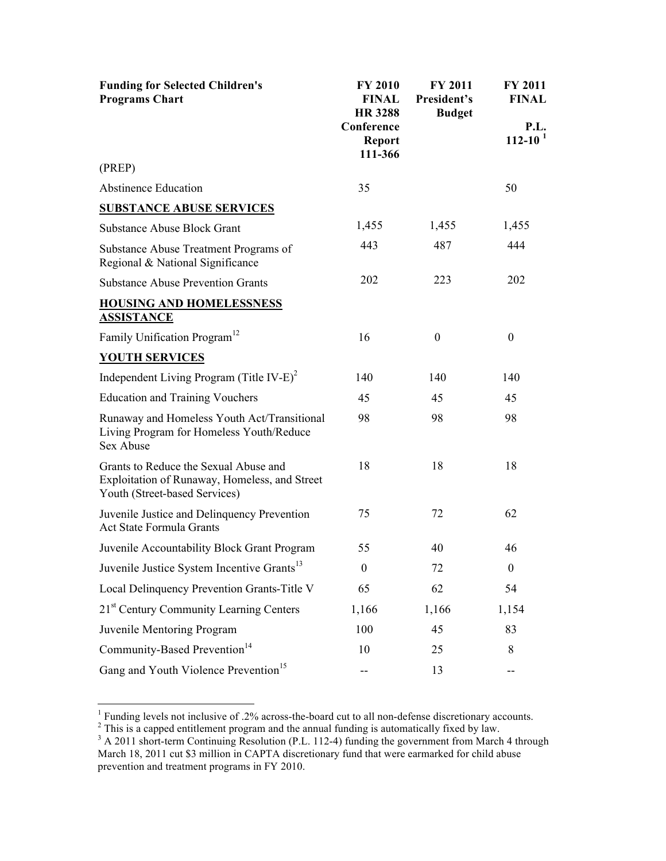| <b>Funding for Selected Children's</b><br><b>Programs Chart</b>                                                         | <b>FY 2010</b><br><b>FINAL</b><br><b>HR 3288</b><br>Conference<br><b>Report</b><br>111-366 | <b>FY 2011</b><br>President's<br><b>Budget</b> | <b>FY 2011</b><br><b>FINAL</b><br>P.L.<br>$112 - 10^{1}$ |
|-------------------------------------------------------------------------------------------------------------------------|--------------------------------------------------------------------------------------------|------------------------------------------------|----------------------------------------------------------|
| (PREP)                                                                                                                  |                                                                                            |                                                |                                                          |
| <b>Abstinence Education</b>                                                                                             | 35                                                                                         |                                                | 50                                                       |
| <b>SUBSTANCE ABUSE SERVICES</b>                                                                                         |                                                                                            |                                                |                                                          |
| <b>Substance Abuse Block Grant</b>                                                                                      | 1,455                                                                                      | 1,455                                          | 1,455                                                    |
| Substance Abuse Treatment Programs of<br>Regional & National Significance                                               | 443                                                                                        | 487                                            | 444                                                      |
| <b>Substance Abuse Prevention Grants</b>                                                                                | 202                                                                                        | 223                                            | 202                                                      |
| <b>HOUSING AND HOMELESSNESS</b><br><b>ASSISTANCE</b>                                                                    |                                                                                            |                                                |                                                          |
| Family Unification Program <sup>12</sup>                                                                                | 16                                                                                         | $\boldsymbol{0}$                               | $\boldsymbol{0}$                                         |
| <b>YOUTH SERVICES</b>                                                                                                   |                                                                                            |                                                |                                                          |
| Independent Living Program (Title IV-E) <sup>2</sup>                                                                    | 140                                                                                        | 140                                            | 140                                                      |
| <b>Education and Training Vouchers</b>                                                                                  | 45                                                                                         | 45                                             | 45                                                       |
| Runaway and Homeless Youth Act/Transitional<br>Living Program for Homeless Youth/Reduce<br>Sex Abuse                    | 98                                                                                         | 98                                             | 98                                                       |
| Grants to Reduce the Sexual Abuse and<br>Exploitation of Runaway, Homeless, and Street<br>Youth (Street-based Services) | 18                                                                                         | 18                                             | 18                                                       |
| Juvenile Justice and Delinquency Prevention<br><b>Act State Formula Grants</b>                                          | 75                                                                                         | 72                                             | 62                                                       |
| Juvenile Accountability Block Grant Program                                                                             | 55                                                                                         | 40                                             | 46                                                       |
| Juvenile Justice System Incentive Grants <sup>13</sup>                                                                  | $\boldsymbol{0}$                                                                           | 72                                             | $\boldsymbol{0}$                                         |
| Local Delinquency Prevention Grants-Title V                                                                             | 65                                                                                         | 62                                             | 54                                                       |
| 21 <sup>st</sup> Century Community Learning Centers                                                                     | 1,166                                                                                      | 1,166                                          | 1,154                                                    |
| Juvenile Mentoring Program                                                                                              | 100                                                                                        | 45                                             | 83                                                       |
| Community-Based Prevention <sup>14</sup>                                                                                | 10                                                                                         | 25                                             | 8                                                        |
| Gang and Youth Violence Prevention <sup>15</sup>                                                                        |                                                                                            | 13                                             | --                                                       |

<sup>1</sup> Funding levels not inclusive of .2% across-the-board cut to all non-defense discretionary accounts.<br><sup>2</sup> This is a capped entitlement program and the annual funding is automatically fixed by law.<br><sup>3</sup> A 2011 short-term

March 18, 2011 cut \$3 million in CAPTA discretionary fund that were earmarked for child abuse prevention and treatment programs in FY 2010.